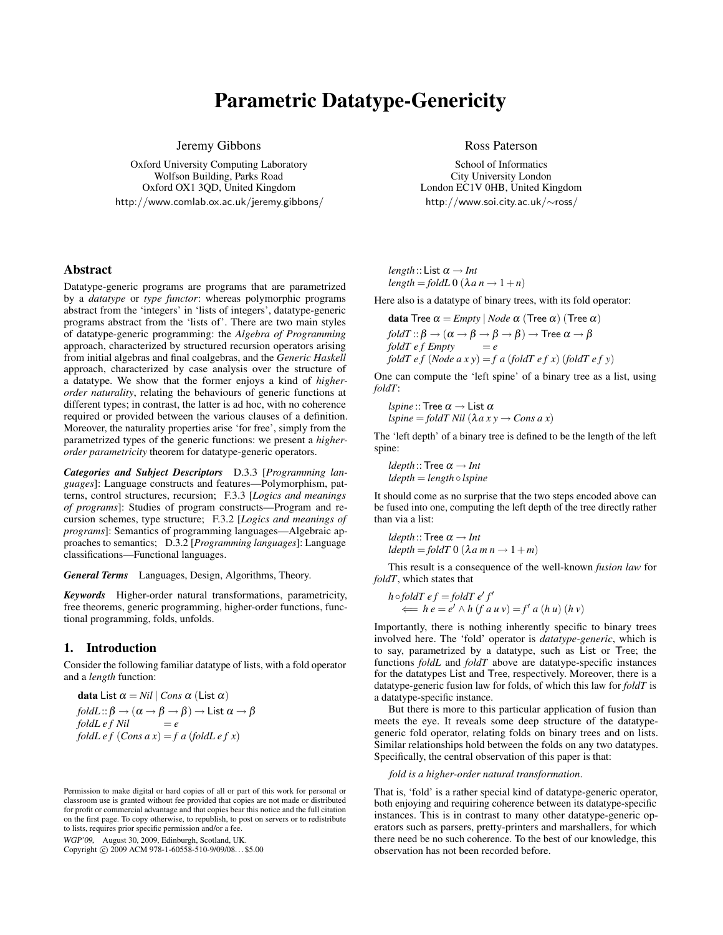# Parametric Datatype-Genericity

Jeremy Gibbons

Oxford University Computing Laboratory Wolfson Building, Parks Road Oxford OX1 3QD, United Kingdom http://www.comlab.ox.ac.uk/jeremy.gibbons/

## Abstract

Datatype-generic programs are programs that are parametrized by a *datatype* or *type functor*: whereas polymorphic programs abstract from the 'integers' in 'lists of integers', datatype-generic programs abstract from the 'lists of'. There are two main styles of datatype-generic programming: the *Algebra of Programming* approach, characterized by structured recursion operators arising from initial algebras and final coalgebras, and the *Generic Haskell* approach, characterized by case analysis over the structure of a datatype. We show that the former enjoys a kind of *higherorder naturality*, relating the behaviours of generic functions at different types; in contrast, the latter is ad hoc, with no coherence required or provided between the various clauses of a definition. Moreover, the naturality properties arise 'for free', simply from the parametrized types of the generic functions: we present a *higherorder parametricity* theorem for datatype-generic operators.

*Categories and Subject Descriptors* D.3.3 [*Programming languages*]: Language constructs and features—Polymorphism, patterns, control structures, recursion; F.3.3 [*Logics and meanings of programs*]: Studies of program constructs—Program and recursion schemes, type structure; F.3.2 [*Logics and meanings of programs*]: Semantics of programming languages—Algebraic approaches to semantics; D.3.2 [*Programming languages*]: Language classifications—Functional languages.

*General Terms* Languages, Design, Algorithms, Theory.

*Keywords* Higher-order natural transformations, parametricity, free theorems, generic programming, higher-order functions, functional programming, folds, unfolds.

## 1. Introduction

Consider the following familiar datatype of lists, with a fold operator and a *length* function:

**data** List  $\alpha = Nil \mid Cons \alpha$  (List α) *foldL* ::  $\beta \rightarrow (\alpha \rightarrow \beta \rightarrow \beta) \rightarrow$  List  $\alpha \rightarrow \beta$  $f \circ \text{d} \text{d} \text{d} \text{d} \text{e} + f \text{d} \text{d} \text{d} \text{e} = e$ *foldL e f*  $(Cons \, a \, x) = f \, a \, (fold \, e \, f \, x)$ 

WGP'09, August 30, 2009, Edinburgh, Scotland, UK.

Copyright © 2009 ACM 978-1-60558-510-9/09/08... \$5.00

Ross Paterson

School of Informatics City University London London EC1V 0HB, United Kingdom http://www.soi.city.ac.uk/∼ross/

*length* :: List  $\alpha \rightarrow Int$  $length = foldL 0$  ( $\lambda a n \rightarrow 1+n$ )

Here also is a datatype of binary trees, with its fold operator:

**data** Tree  $\alpha$  = *Empty* | *Node*  $\alpha$  (Tree  $\alpha$ ) (Tree  $\alpha$ ) *foldT* ::  $\beta \rightarrow (\alpha \rightarrow \beta \rightarrow \beta \rightarrow \beta) \rightarrow$  Tree  $\alpha \rightarrow \beta$ <br>*foldT e f Empty* = *e foldT e f Empty foldT e f* (*Node a x y*) = *f a* (*foldT e f x*) (*foldT e f y*)

One can compute the 'left spine' of a binary tree as a list, using *foldT*:

*lspine* :: Tree  $\alpha \rightarrow$  List  $\alpha$  $lspine = foldT Nil (\lambda a x y \rightarrow Cons a x)$ 

The 'left depth' of a binary tree is defined to be the length of the left spine:

*ldepth* :: Tree  $\alpha \rightarrow Int$ *ldepth* = *length* ◦ *lspine*

It should come as no surprise that the two steps encoded above can be fused into one, computing the left depth of the tree directly rather than via a list:

*ldepth* :: Tree  $\alpha \rightarrow Int$  $ldepth = foldT$   $0$   $(\lambda a \, m \, n \rightarrow 1 + m)$ 

This result is a consequence of the well-known *fusion law* for *foldT*, which states that

$$
h \circ f \circ d \mathcal{T} \, e f = f \circ d \mathcal{T} \, e' f'
$$
\n
$$
\iff h \, e = e' \land h \, (f \, a \, u \, v) = f' \, a \, (h \, u) \, (h \, v)
$$

Importantly, there is nothing inherently specific to binary trees involved here. The 'fold' operator is *datatype-generic*, which is to say, parametrized by a datatype, such as List or Tree; the functions *foldL* and *foldT* above are datatype-specific instances for the datatypes List and Tree, respectively. Moreover, there is a datatype-generic fusion law for folds, of which this law for *foldT* is a datatype-specific instance.

But there is more to this particular application of fusion than meets the eye. It reveals some deep structure of the datatypegeneric fold operator, relating folds on binary trees and on lists. Similar relationships hold between the folds on any two datatypes. Specifically, the central observation of this paper is that:

*fold is a higher-order natural transformation*.

That is, 'fold' is a rather special kind of datatype-generic operator, both enjoying and requiring coherence between its datatype-specific instances. This is in contrast to many other datatype-generic operators such as parsers, pretty-printers and marshallers, for which there need be no such coherence. To the best of our knowledge, this observation has not been recorded before.

Permission to make digital or hard copies of all or part of this work for personal or classroom use is granted without fee provided that copies are not made or distributed for profit or commercial advantage and that copies bear this notice and the full citation on the first page. To copy otherwise, to republish, to post on servers or to redistribute to lists, requires prior specific permission and/or a fee.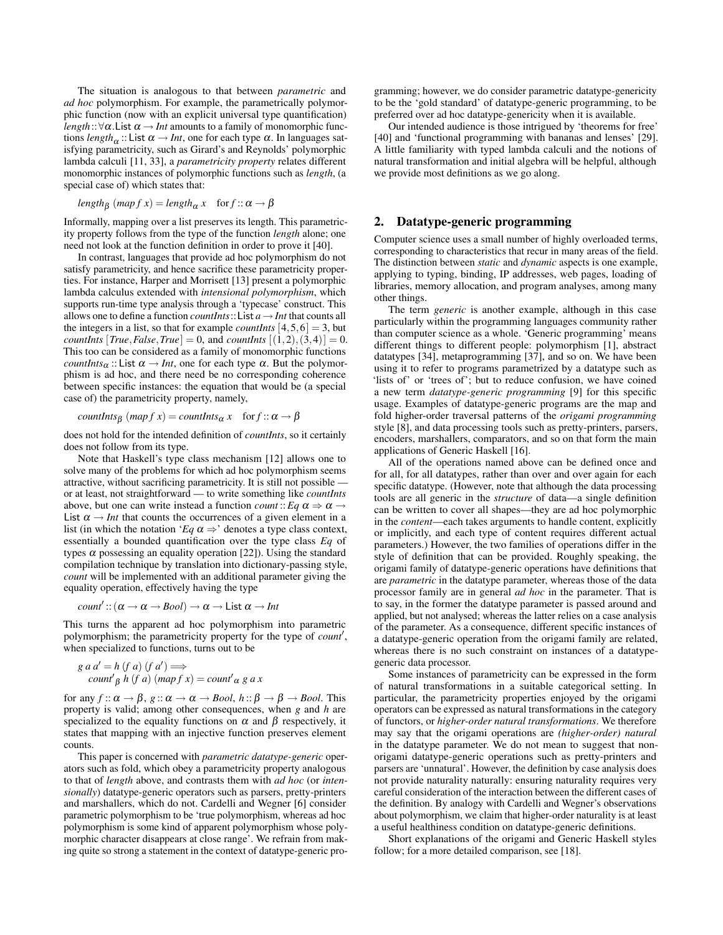The situation is analogous to that between *parametric* and *ad hoc* polymorphism. For example, the parametrically polymorphic function (now with an explicit universal type quantification) *length*:: $\forall \alpha$ . List  $\alpha \rightarrow Int$  amounts to a family of monomorphic functions *length* $\alpha$  :: List  $\alpha \rightarrow Int$ , one for each type  $\alpha$ . In languages satisfying parametricity, such as Girard's and Reynolds' polymorphic lambda calculi [11, 33], a *parametricity property* relates different monomorphic instances of polymorphic functions such as *length*, (a special case of) which states that:

 $length_{\beta}$   $(map f x) = length_{\alpha} x$  for  $f :: \alpha \rightarrow \beta$ 

Informally, mapping over a list preserves its length. This parametricity property follows from the type of the function *length* alone; one need not look at the function definition in order to prove it [40].

In contrast, languages that provide ad hoc polymorphism do not satisfy parametricity, and hence sacrifice these parametricity properties. For instance, Harper and Morrisett [13] present a polymorphic lambda calculus extended with *intensional polymorphism*, which supports run-time type analysis through a 'typecase' construct. This allows one to define a function *countInts*:: List  $a \rightarrow Int$  that counts all the integers in a list, so that for example *countInts*  $[4,5,6] = 3$ , but *countInts*  $[True, False, True] = 0$ , and *countInts*  $[(1,2), (3,4)] = 0$ . This too can be considered as a family of monomorphic functions *countInts*α :: List  $\alpha \rightarrow Int$ , one for each type  $\alpha$ . But the polymorphism is ad hoc, and there need be no corresponding coherence between specific instances: the equation that would be (a special case of) the parametricity property, namely,

 $countInts_{\beta}$   $(map f x) = countInts_{\alpha} x$  for  $f :: \alpha \rightarrow \beta$ 

does not hold for the intended definition of *countInts*, so it certainly does not follow from its type.

Note that Haskell's type class mechanism [12] allows one to solve many of the problems for which ad hoc polymorphism seems attractive, without sacrificing parametricity. It is still not possible or at least, not straightforward — to write something like *countInts* above, but one can write instead a function *count* :: *Eq*  $\alpha \Rightarrow \alpha \rightarrow$ List  $\alpha \rightarrow Int$  that counts the occurrences of a given element in a list (in which the notation '*Eq*  $\alpha \Rightarrow$ ' denotes a type class context, essentially a bounded quantification over the type class *Eq* of types  $\alpha$  possessing an equality operation [22]). Using the standard compilation technique by translation into dictionary-passing style, *count* will be implemented with an additional parameter giving the equality operation, effectively having the type

*count*': 
$$
(\alpha \rightarrow \alpha \rightarrow \beta \circ o l) \rightarrow \alpha \rightarrow \text{List } \alpha \rightarrow \text{Int}
$$

This turns the apparent ad hoc polymorphism into parametric polymorphism; the parametricity property for the type of *count'*, when specialized to functions, turns out to be

$$
g a a' = h (f a) (f a') \Longrightarrow
$$
  
count  $\beta$  h (f a) (map f x) = count' a g a x

for any  $f: \alpha \to \beta$ ,  $g: \alpha \to \alpha \to \beta$  *bool*,  $h: \beta \to \beta \to \beta$  *bool*. This property is valid; among other consequences, when *g* and *h* are specialized to the equality functions on  $\alpha$  and  $\beta$  respectively, it states that mapping with an injective function preserves element counts.

This paper is concerned with *parametric datatype-generic* operators such as fold, which obey a parametricity property analogous to that of *length* above, and contrasts them with *ad hoc* (or *intensionally*) datatype-generic operators such as parsers, pretty-printers and marshallers, which do not. Cardelli and Wegner [6] consider parametric polymorphism to be 'true polymorphism, whereas ad hoc polymorphism is some kind of apparent polymorphism whose polymorphic character disappears at close range'. We refrain from making quite so strong a statement in the context of datatype-generic programming; however, we do consider parametric datatype-genericity to be the 'gold standard' of datatype-generic programming, to be preferred over ad hoc datatype-genericity when it is available.

Our intended audience is those intrigued by 'theorems for free' [40] and 'functional programming with bananas and lenses' [29]. A little familiarity with typed lambda calculi and the notions of natural transformation and initial algebra will be helpful, although we provide most definitions as we go along.

## 2. Datatype-generic programming

Computer science uses a small number of highly overloaded terms, corresponding to characteristics that recur in many areas of the field. The distinction between *static* and *dynamic* aspects is one example, applying to typing, binding, IP addresses, web pages, loading of libraries, memory allocation, and program analyses, among many other things.

The term *generic* is another example, although in this case particularly within the programming languages community rather than computer science as a whole. 'Generic programming' means different things to different people: polymorphism [1], abstract datatypes [34], metaprogramming [37], and so on. We have been using it to refer to programs parametrized by a datatype such as 'lists of' or 'trees of'; but to reduce confusion, we have coined a new term *datatype-generic programming* [9] for this specific usage. Examples of datatype-generic programs are the map and fold higher-order traversal patterns of the *origami programming* style [8], and data processing tools such as pretty-printers, parsers, encoders, marshallers, comparators, and so on that form the main applications of Generic Haskell [16].

All of the operations named above can be defined once and for all, for all datatypes, rather than over and over again for each specific datatype. (However, note that although the data processing tools are all generic in the *structure* of data—a single definition can be written to cover all shapes—they are ad hoc polymorphic in the *content*—each takes arguments to handle content, explicitly or implicitly, and each type of content requires different actual parameters.) However, the two families of operations differ in the style of definition that can be provided. Roughly speaking, the origami family of datatype-generic operations have definitions that are *parametric* in the datatype parameter, whereas those of the data processor family are in general *ad hoc* in the parameter. That is to say, in the former the datatype parameter is passed around and applied, but not analysed; whereas the latter relies on a case analysis of the parameter. As a consequence, different specific instances of a datatype-generic operation from the origami family are related, whereas there is no such constraint on instances of a datatypegeneric data processor.

Some instances of parametricity can be expressed in the form of natural transformations in a suitable categorical setting. In particular, the parametricity properties enjoyed by the origami operators can be expressed as natural transformations in the category of functors, or *higher-order natural transformations*. We therefore may say that the origami operations are *(higher-order) natural* in the datatype parameter. We do not mean to suggest that nonorigami datatype-generic operations such as pretty-printers and parsers are 'unnatural'. However, the definition by case analysis does not provide naturality naturally: ensuring naturality requires very careful consideration of the interaction between the different cases of the definition. By analogy with Cardelli and Wegner's observations about polymorphism, we claim that higher-order naturality is at least a useful healthiness condition on datatype-generic definitions.

Short explanations of the origami and Generic Haskell styles follow; for a more detailed comparison, see [18].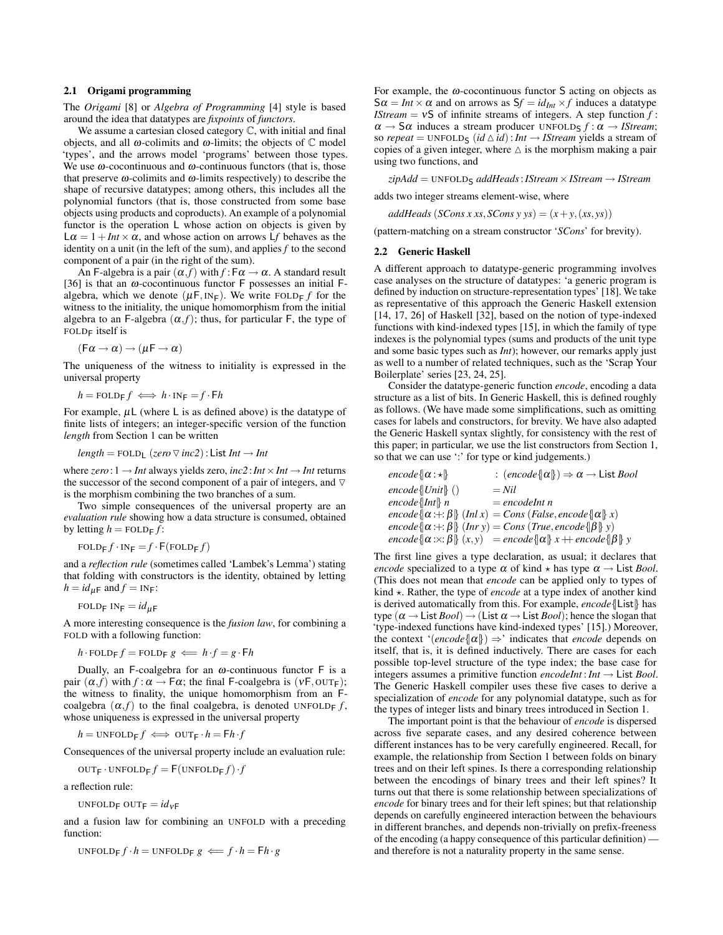#### 2.1 Origami programming

The *Origami* [8] or *Algebra of Programming* [4] style is based around the idea that datatypes are *fixpoints* of *functors*.

We assume a cartesian closed category C, with initial and final objects, and all  $ω$ -colimits and  $ω$ -limits; the objects of  $C$  model 'types', and the arrows model 'programs' between those types. We use  $\omega$ -cocontinuous and  $\omega$ -continuous functors (that is, those that preserve  $\omega$ -colimits and  $\omega$ -limits respectively) to describe the shape of recursive datatypes; among others, this includes all the polynomial functors (that is, those constructed from some base objects using products and coproducts). An example of a polynomial functor is the operation L whose action on objects is given by  $L\alpha = 1 + Int \times \alpha$ , and whose action on arrows Lf behaves as the identity on a unit (in the left of the sum), and applies *f* to the second component of a pair (in the right of the sum).

An F-algebra is a pair  $(\alpha, f)$  with  $f : F\alpha \to \alpha$ . A standard result [36] is that an  $\omega$ -cocontinuous functor F possesses an initial Falgebra, which we denote  $(\mu F, IN_F)$ . We write FOLD<sub>F</sub> *f* for the witness to the initiality, the unique homomorphism from the initial algebra to an F-algebra  $(\alpha, f)$ ; thus, for particular F, the type of FOLD<sub>F</sub> itself is

$$
(\mathsf{F}\alpha \mathbin{\rightarrow} \alpha) \mathbin{\rightarrow} (\mu \mathsf{F} \mathbin{\rightarrow} \alpha)
$$

The uniqueness of the witness to initiality is expressed in the universal property

$$
h = \text{FOLD}_\text{F} f \iff h \cdot \text{IN}_\text{F} = f \cdot \text{F} h
$$

For example,  $\mu$ L (where L is as defined above) is the datatype of finite lists of integers; an integer-specific version of the function *length* from Section 1 can be written

$$
length = \text{FOLD}_L
$$
 ( $zero \triangledown inc2$ ): List  $Int \rightarrow Int$ 

where  $zero: 1 \rightarrow Int$  always yields zero,  $inc2: Int \times Int \rightarrow Int$  returns the successor of the second component of a pair of integers, and  $\nabla$ is the morphism combining the two branches of a sum.

Two simple consequences of the universal property are an *evaluation rule* showing how a data structure is consumed, obtained by letting  $h = \text{FOLDF } f$ :

$$
\text{FOLD}_{\mathsf{F}} f \cdot \text{IN}_{\mathsf{F}} = f \cdot \mathsf{F}(\text{FOLD}_{\mathsf{F}} f)
$$

and a *reflection rule* (sometimes called 'Lambek's Lemma') stating that folding with constructors is the identity, obtained by letting  $h = id_{\mu}$  and  $f = IN_F$ :

FOLDF INF = 
$$
id_{\mu F}
$$

A more interesting consequence is the *fusion law*, for combining a FOLD with a following function:

$$
h \cdot \text{FOLD}_{F} f = \text{FOLD}_{F} g \iff h \cdot f = g \cdot \text{F} h
$$

Dually, an F-coalgebra for an  $\omega$ -continuous functor F is a pair  $(\alpha, f)$  with  $f : \alpha \to \mathsf{F}\alpha$ ; the final F-coalgebra is  $(v\mathsf{F}, \text{OUT}_{\mathsf{F}})$ ; the witness to finality, the unique homomorphism from an Fcoalgebra  $(\alpha, f)$  to the final coalgebra, is denoted UNFOLD<sub>F</sub> *f*, whose uniqueness is expressed in the universal property

$$
h = \text{UNFOLD}_{F} f \iff \text{OUT}_{F} \cdot h = \mathsf{F}h \cdot f
$$

Consequences of the universal property include an evaluation rule:

$$
OUT_{F} \cdot UNFOLD_{F} f = F(UNFOLD_{F} f) \cdot f
$$

a reflection rule:

UNFOLD<sub>F</sub> OUT<sub>F</sub> =  $id_{vF}$ 

and a fusion law for combining an UNFOLD with a preceding function:

$$
UNFOLD_{F} f \cdot h = UNFOLD_{F} g \iff f \cdot h = Fh \cdot g
$$

For example, the  $\omega$ -cocontinuous functor S acting on objects as  $S\alpha = Int \times \alpha$  and on arrows as  $Sf = id_{Int} \times f$  induces a datatype *IStream* =  $vS$  of infinite streams of integers. A step function  $f$ :  $\alpha \rightarrow S\alpha$  induces a stream producer UNFOLD<sub>S</sub>  $f : \alpha \rightarrow I$ *Stream*; so *repeat* = UNFOLD<sub>S</sub> (*id*  $\triangle$  *id*): *Int*  $\rightarrow$  *IStream* yields a stream of copies of a given integer, where  $\Delta$  is the morphism making a pair using two functions, and

*zipAdd* = UNFOLD<sup>S</sup> *addHeads*:*IStream*×*IStream* → *IStream*

adds two integer streams element-wise, where

 $addHeads$  (*SCons x xs*, *SCons y ys*) =  $(x + y, (xs, ys))$ 

(pattern-matching on a stream constructor '*SCons*' for brevity).

### 2.2 Generic Haskell

A different approach to datatype-generic programming involves case analyses on the structure of datatypes: 'a generic program is defined by induction on structure-representation types' [18]. We take as representative of this approach the Generic Haskell extension [14, 17, 26] of Haskell [32], based on the notion of type-indexed functions with kind-indexed types [15], in which the family of type indexes is the polynomial types (sums and products of the unit type and some basic types such as *Int*); however, our remarks apply just as well to a number of related techniques, such as the 'Scrap Your Boilerplate' series [23, 24, 25].

Consider the datatype-generic function *encode*, encoding a data structure as a list of bits. In Generic Haskell, this is defined roughly as follows. (We have made some simplifications, such as omitting cases for labels and constructors, for brevity. We have also adapted the Generic Haskell syntax slightly, for consistency with the rest of this paper; in particular, we use the list constructors from Section 1, so that we can use ':' for type or kind judgements.)

| encode $\{\alpha : \star\}$ | : $(encode \{\alpha\}) \Rightarrow \alpha \rightarrow \text{List }Bool$                 |
|-----------------------------|-----------------------------------------------------------------------------------------|
| $encode{Unit}$ ()           | $=$ Nil                                                                                 |
| $encode{Int}$ n             | $= encodelnt n$                                                                         |
|                             | encode $\{\alpha : \beta\}$ (Inl x) = Cons (False, encode $\{\alpha\}$ x)               |
|                             | encode $\{\alpha : \pm : \beta\}$ (Inr y) = Cons (True, encode $\{\beta\}$ y)           |
|                             | encode $\{\alpha : x : \beta\}$ $(x, y)$ = encode $\{\alpha\}$ x + encode $\{\beta\}$ y |

The first line gives a type declaration, as usual; it declares that *encode* specialized to a type  $\alpha$  of kind  $\star$  has type  $\alpha \rightarrow$  List *Bool*. (This does not mean that *encode* can be applied only to types of kind  $\star$ . Rather, the type of *encode* at a type index of another kind is derived automatically from this. For example, *encode*{|List|} has type  $(\alpha \rightarrow \text{List }Bool) \rightarrow (\text{List } \alpha \rightarrow \text{List }Bool)$ ; hence the slogan that 'type-indexed functions have kind-indexed types' [15].) Moreover, the context ' $\langle encode\{\alpha\}\rangle \Rightarrow$ ' indicates that *encode* depends on itself, that is, it is defined inductively. There are cases for each possible top-level structure of the type index; the base case for integers assumes a primitive function *encodeInt* :*Int* → List *Bool*. The Generic Haskell compiler uses these five cases to derive a specialization of *encode* for any polynomial datatype, such as for the types of integer lists and binary trees introduced in Section 1.

The important point is that the behaviour of *encode* is dispersed across five separate cases, and any desired coherence between different instances has to be very carefully engineered. Recall, for example, the relationship from Section 1 between folds on binary trees and on their left spines. Is there a corresponding relationship between the encodings of binary trees and their left spines? It turns out that there is some relationship between specializations of *encode* for binary trees and for their left spines; but that relationship depends on carefully engineered interaction between the behaviours in different branches, and depends non-trivially on prefix-freeness of the encoding (a happy consequence of this particular definition) and therefore is not a naturality property in the same sense.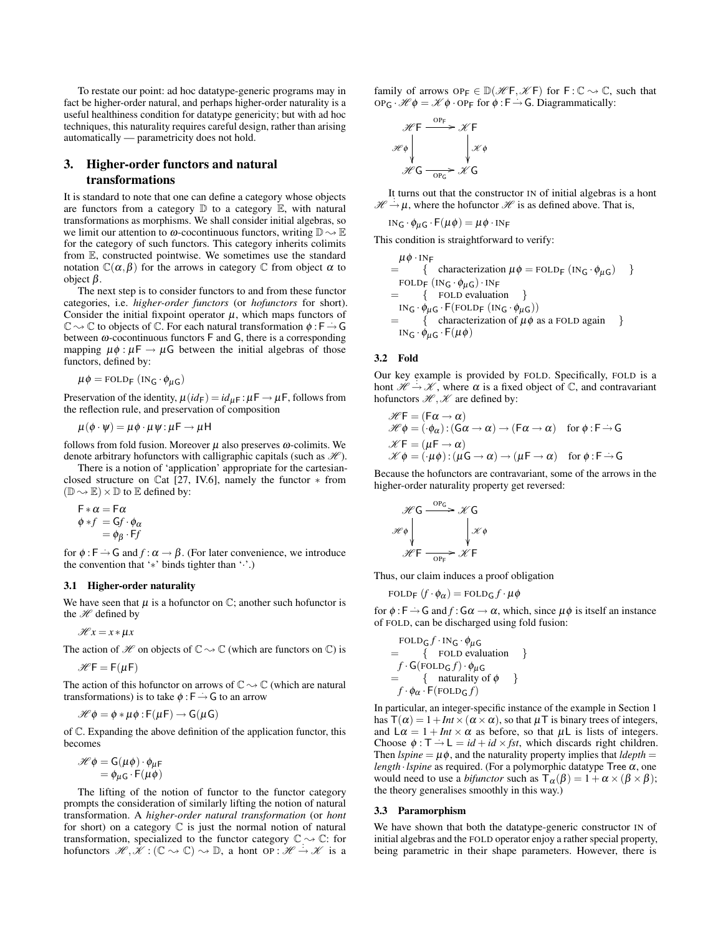To restate our point: ad hoc datatype-generic programs may in fact be higher-order natural, and perhaps higher-order naturality is a useful healthiness condition for datatype genericity; but with ad hoc techniques, this naturality requires careful design, rather than arising automatically — parametricity does not hold.

## 3. Higher-order functors and natural transformations

It is standard to note that one can define a category whose objects are functors from a category  $\mathbb D$  to a category  $\mathbb E$ , with natural transformations as morphisms. We shall consider initial algebras, so we limit our attention to  $\omega$ -cocontinuous functors, writing  $\mathbb{D} \sim \mathbb{E}$ for the category of such functors. This category inherits colimits from E, constructed pointwise. We sometimes use the standard notation  $\mathbb{C}(\alpha, \beta)$  for the arrows in category  $\mathbb C$  from object  $\alpha$  to object β.

The next step is to consider functors to and from these functor categories, i.e. *higher-order functors* (or *hofunctors* for short). Consider the initial fixpoint operator  $\mu$ , which maps functors of C  $\sim \mathbb{C}$  to objects of C. For each natural transformation  $\phi : \mathsf{F} \to \mathsf{G}$ between  $\omega$ -cocontinuous functors  $F$  and  $G$ , there is a corresponding mapping  $\mu \phi : \mu \rightarrow \mu \mathsf{G}$  between the initial algebras of those functors, defined by:

 $\mu \phi = \text{FOLD}_{F} (\text{IN}_{G} \cdot \phi_{\mu G})$ 

Preservation of the identity,  $\mu(id_F) = id_{\mu}F : \mu F \to \mu F$ , follows from the reflection rule, and preservation of composition

$$
\mu(\phi \cdot \psi) = \mu \phi \cdot \mu \psi : \mu \mathsf{F} \to \mu \mathsf{H}
$$

follows from fold fusion. Moreover  $\mu$  also preserves  $\omega$ -colimits. We denote arbitrary hofunctors with calligraphic capitals (such as  $\mathcal{H}$ ).

There is a notion of 'application' appropriate for the cartesianclosed structure on Cat [27, IV.6], namely the functor ∗ from  $(\mathbb{D} \rightarrow \mathbb{E}) \times \mathbb{D}$  to  $\mathbb E$  defined by:

$$
\begin{array}{l}\n\mathsf{F} * \alpha = \mathsf{F} \alpha \\
\phi * f = \mathsf{G} f \cdot \phi_{\alpha} \\
= \phi_{\beta} \cdot \mathsf{F} f\n\end{array}
$$

for  $\phi : \mathsf{F} \to \mathsf{G}$  and  $f : \alpha \to \beta$ . (For later convenience, we introduce the convention that '∗' binds tighter than '·'.)

## 3.1 Higher-order naturality

We have seen that  $\mu$  is a hofunctor on  $\mathbb{C}$ ; another such hofunctor is the  $H$  defined by

 $\mathcal{H} x = x * \mu x$ 

The action of  $\mathcal H$  on objects of  $\mathbb C \rightarrow \mathbb C$  (which are functors on  $\mathbb C$ ) is

 $H = F(\mu F)$ 

The action of this hofunctor on arrows of  $\mathbb{C} \rightarrow \mathbb{C}$  (which are natural transformations) is to take  $\phi : F \to G$  to an arrow

$$
\mathscr{H} \phi = \phi * \mu \phi : F(\mu F) \to G(\mu G)
$$

of C. Expanding the above definition of the application functor, this becomes

 $\mathscr{H} \phi = \mathsf{G}(\mu \phi) \cdot \phi_{\mu \mathsf{F}}$  $= \phi_{\mu}$ G · F( $\mu \dot{\phi}$ )

The lifting of the notion of functor to the functor category prompts the consideration of similarly lifting the notion of natural transformation. A *higher-order natural transformation* (or *hont* for short) on a category  $C$  is just the normal notion of natural transformation, specialized to the functor category  $\mathbb{C} \rightarrow \mathbb{C}$ : for hofunctors  $\mathcal{H}, \mathcal{K} : (\mathbb{C} \to \mathbb{C}) \to \mathbb{D}$ , a hont OP:  $\mathcal{H} \to \mathcal{K}$  is a

family of arrows  $OP_F \in \mathbb{D}(\mathcal{H}F, \mathcal{K}F)$  for  $F : \mathbb{C} \to \mathbb{C}$ , such that  $OP_G \cdot \mathcal{H} \phi = \mathcal{K} \phi \cdot OP_F$  for  $\phi : F \to G$ . Diagrammatically:

$$
\mathcal{H} \to \mathcal{K} \to \mathcal{K} \to \mathcal{K} \to \mathcal{H} \circ \mathcal{H} \circ \mathcal{H} \circ \mathcal{H} \circ \mathcal{H} \circ \mathcal{H} \circ \mathcal{H} \circ \mathcal{H} \circ \mathcal{H} \circ \mathcal{H} \circ \mathcal{H} \circ \mathcal{H} \circ \mathcal{H} \circ \mathcal{H} \circ \mathcal{H} \circ \mathcal{H} \circ \mathcal{H} \circ \mathcal{H} \circ \mathcal{H} \circ \mathcal{H} \circ \mathcal{H} \circ \mathcal{H} \circ \mathcal{H} \circ \mathcal{H} \circ \mathcal{H} \circ \mathcal{H} \circ \mathcal{H} \circ \mathcal{H} \circ \mathcal{H} \circ \mathcal{H} \circ \mathcal{H} \circ \mathcal{H} \circ \mathcal{H} \circ \mathcal{H} \circ \mathcal{H} \circ \mathcal{H} \circ \mathcal{H} \circ \mathcal{H} \circ \mathcal{H} \circ \mathcal{H} \circ \mathcal{H} \circ \mathcal{H} \circ \mathcal{H} \circ \mathcal{H} \circ \mathcal{H} \circ \mathcal{H} \circ \mathcal{H} \circ \mathcal{H} \circ \mathcal{H} \circ \mathcal{H} \circ \mathcal{H} \circ \mathcal{H} \circ \mathcal{H} \circ \mathcal{H} \circ \mathcal{H} \circ \mathcal{H} \circ \mathcal{H} \circ \mathcal{H} \circ \mathcal{H} \circ \mathcal{H} \circ \mathcal{H} \circ \mathcal{H} \circ \mathcal{H} \circ \mathcal{H} \circ \mathcal{H} \circ \mathcal{H} \circ \mathcal{H} \circ \mathcal{H} \circ \mathcal{H} \circ \mathcal{H} \circ \mathcal{H} \circ \mathcal{H} \circ \mathcal{H} \circ \mathcal{H} \circ \mathcal{H} \circ \mathcal{H} \circ \mathcal{H} \circ \mathcal{H} \circ \mathcal{H} \circ \mathcal{H} \circ \mathcal{H} \circ \mathcal{H} \circ \mathcal{H} \circ \mathcal{H} \circ \mathcal{H} \circ \mathcal{H} \circ \mathcal{H} \circ \mathcal{H} \circ \mathcal{H} \circ \mathcal{H} \circ \mathcal{H} \circ
$$

It turns out that the constructor IN of initial algebras is a hont  $\mathcal{H} \rightarrow \mu$ , where the hofunctor  $\mathcal{H}$  is as defined above. That is,

 $IN_G \cdot \phi_{\mu} G \cdot F(\mu \phi) = \mu \phi \cdot IN_F$ 

This condition is straightforward to verify:

 $\mu \phi \cdot \text{INF}$ = { characterization  $\mu \phi = \text{FOLD}_F (\text{IN}_G \cdot \phi_{\mu} G)$  } FOLD<sub>F</sub>  $(IN_G \cdot \phi_{\mu} G) \cdot IN_F$ = { FOLD evaluation }  $IN_G \cdot \phi_{\mu G} \cdot F(\text{FOLD}_F(\text{IN}_G \cdot \phi_{\mu G}))$  $=$  { characterization of  $\mu \phi$  as a FOLD again }  $IN_G \cdot \phi_{\mu} G \cdot F(\mu \phi)$ 

## 3.2 Fold

Our key example is provided by FOLD. Specifically, FOLD is a hont  $\mathcal{H} \rightarrow \mathcal{K}$ , where  $\alpha$  is a fixed object of  $\mathbb{C}$ , and contravariant hofunctors  $\mathcal{H}, \mathcal{K}$  are defined by:

$$
\mathcal{H}\mathsf{F} = (\mathsf{F}\alpha \to \alpha) \n\mathcal{H}\phi = (\cdot \phi_{\alpha}) : (\mathsf{G}\alpha \to \alpha) \to (\mathsf{F}\alpha \to \alpha) \quad \text{for } \phi : \mathsf{F} \to \mathsf{G} \n\mathcal{K}\mathsf{F} = (\mu \mathsf{F} \to \alpha) \n\mathcal{K}\phi = (\cdot \mu \phi) : (\mu \mathsf{G} \to \alpha) \to (\mu \mathsf{F} \to \alpha) \quad \text{for } \phi : \mathsf{F} \to \mathsf{G}
$$

Because the hofunctors are contravariant, some of the arrows in the higher-order naturality property get reversed:

$$
\mathcal{H} G \xrightarrow{\text{OPG}} \mathcal{K} G
$$
\n
$$
\mathcal{H} \phi \qquad \qquad \downarrow \mathcal{K} \phi
$$
\n
$$
\mathcal{H} F \xrightarrow{\text{OPF}} \mathcal{K} F
$$

Thus, our claim induces a proof obligation

 $FOLD_F$   $(f \cdot \phi_\alpha) = FOLD_G f \cdot \mu\phi$ 

for  $\phi : \mathsf{F} \to \mathsf{G}$  and  $f : \mathsf{G}\alpha \to \alpha$ , which, since  $\mu \phi$  is itself an instance of FOLD, can be discharged using fold fusion:

$$
\begin{aligned}\n &\text{FOLD}_G f \cdot \text{IN}_G \cdot \phi_\mu \text{G} \\
 &= \{ \text{FOLD evaluation } \} \\
 &\quad f \cdot \text{G}(\text{FOLD}_G f) \cdot \phi_\mu \text{G} \\
 &= \{ \text{naturality of } \phi \} \\
 &\quad f \cdot \phi_\alpha \cdot \text{F}(\text{FOLD}_G f)\n \end{aligned}
$$

In particular, an integer-specific instance of the example in Section 1 has  $T(\alpha) = 1 + Int \times (\alpha \times \alpha)$ , so that  $\mu$ T is binary trees of integers, and  $L\alpha = 1 + Int \times \alpha$  as before, so that  $\mu L$  is lists of integers. Choose  $\phi : \mathsf{T} \to \mathsf{L} = id + id \times fst$ , which discards right children. Then  $lspine = \mu \phi$ , and the naturality property implies that  $ldepth =$ *length* · *lspine* as required. (For a polymorphic datatype Tree  $\alpha$ , one would need to use a *bifunctor* such as  $T_{\alpha}(\beta) = 1 + \alpha \times (\beta \times \beta)$ ; the theory generalises smoothly in this way.)

#### 3.3 Paramorphism

We have shown that both the datatype-generic constructor IN of initial algebras and the FOLD operator enjoy a rather special property, being parametric in their shape parameters. However, there is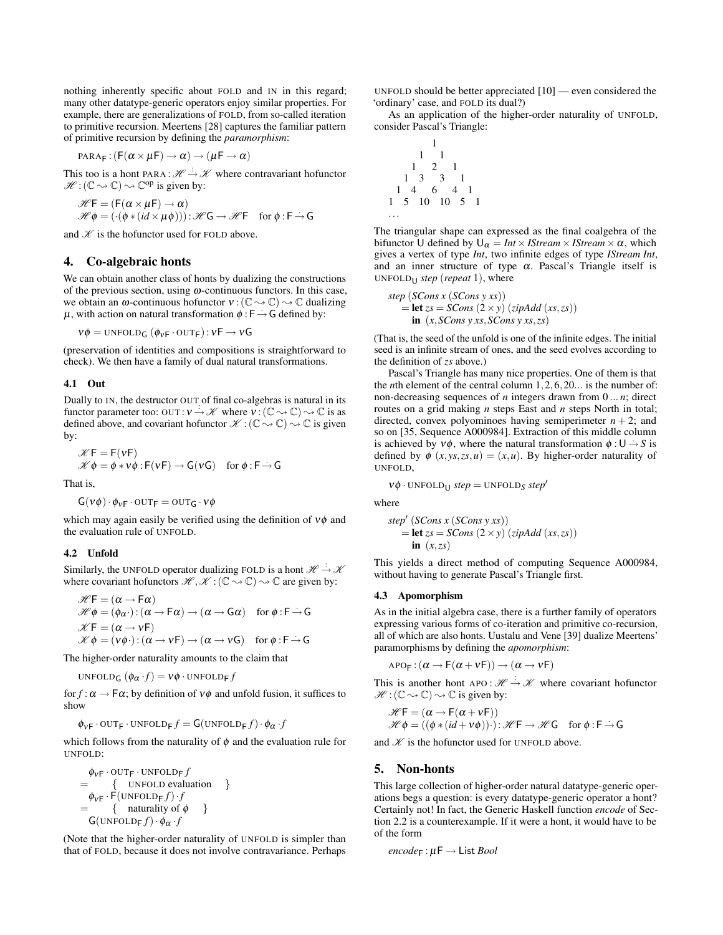nothing inherently specific about FOLD and IN in this regard; many other datatype-generic operators enjoy similar properties. For example, there are generalizations of FOLD, from so-called iteration to primitive recursion. Meertens [28] captures the familiar pattern of primitive recursion by defining the *paramorphism*:

$$
PARRA_F: (F(\alpha \times \mu F) \to \alpha) \to (\mu F \to \alpha)
$$

This too is a hont PARA :  $\mathcal{H} \xrightarrow{\div} \mathcal{K}$  where contravariant hofunctor  $\mathscr{H} : (\mathbb{C} \rightarrow \mathbb{C}) \rightarrow \mathbb{C}^{op}$  is given by:

$$
\mathcal{H}\mathsf{F} = (\mathsf{F}(\alpha \times \mu \mathsf{F}) \to \alpha) \mathcal{H}\phi = (\cdot(\phi * (id \times \mu \phi))) : \mathcal{H}\mathsf{G} \to \mathcal{H}\mathsf{F} \quad \text{for } \phi : \mathsf{F} \to \mathsf{G}
$$

and  $K$  is the hofunctor used for FOLD above.

## 4. Co-algebraic honts

We can obtain another class of honts by dualizing the constructions of the previous section, using  $\omega$ -continuous functors. In this case, we obtain an  $\omega$ -continuous hofunctor  $v : (\mathbb{C} \rightarrow \mathbb{C}) \rightarrow \mathbb{C}$  dualizing  $\mu$ , with action on natural transformation  $\phi : F \rightarrow G$  defined by:

$$
v\phi = \text{UNFOLD}_G \left( \phi_{vF} \cdot \text{OUT}_F \right) : vF \to vG
$$

(preservation of identities and compositions is straightforward to check). We then have a family of dual natural transformations.

#### 4.1 Out

Dually to IN, the destructor OUT of final co-algebras is natural in its functor parameter too: OUT:  $v \rightarrow \mathcal{K}$  where  $v : (\mathbb{C} \rightarrow \mathbb{C}) \rightarrow \mathbb{C}$  is as defined above, and covariant hofunctor  $\mathscr{K} : (\mathbb{C} \rightarrow \mathbb{C}) \rightarrow \mathbb{C}$  is given by:

$$
\mathscr{K}F = F(vF)
$$
  

$$
\mathscr{K}\phi = \phi * v\phi : F(vF) \to G(vG) \text{ for } \phi : F \to G
$$

That is,

$$
G(v\phi) \cdot \phi_{vF} \cdot \text{OUT}_F = \text{OUT}_G \cdot v\phi
$$

which may again easily be verified using the definition of  $v\phi$  and the evaluation rule of UNFOLD.

#### 4.2 Unfold

Similarly, the UNFOLD operator dualizing FOLD is a hont  $\mathcal{H} \rightarrow \mathcal{K}$ where covariant hofunctors  $\mathcal{H}, \mathcal{K} : (\mathbb{C} \rightarrow \mathbb{C}) \rightarrow \mathbb{C}$  are given by:

$$
\mathcal{H}\mathsf{F} = (\alpha \to \mathsf{F}\alpha) \n\mathcal{H}\phi = (\phi_{\alpha}) : (\alpha \to \mathsf{F}\alpha) \to (\alpha \to \mathsf{G}\alpha) \quad \text{for } \phi : \mathsf{F} \to \mathsf{G} \n\mathcal{H}\mathsf{F} = (\alpha \to v\mathsf{F}) \n\mathcal{H}\phi = (v\phi) : (\alpha \to v\mathsf{F}) \to (\alpha \to v\mathsf{G}) \quad \text{for } \phi : \mathsf{F} \to \mathsf{G}
$$

The higher-order naturality amounts to the claim that

UNFOLD<sub>G</sub>  $(\phi_{\alpha} \cdot f) = v \phi \cdot \text{UNFOLD}_{F} f$ 

for  $f : \alpha \to \mathsf{F}\alpha$ ; by definition of  $v\phi$  and unfold fusion, it suffices to show

$$
\phi_{\mathsf{VF}} \cdot \text{OUTF} \cdot \text{UNFOLDF} f = \mathsf{G}(\text{UNFOLDF} f) \cdot \phi_{\alpha} \cdot f
$$

which follows from the naturality of  $\phi$  and the evaluation rule for UNFOLD:

$$
\begin{array}{ll}\n\phi_{\mathsf{VF}} \cdot \text{OUTF} \cdot \text{UNFOLDF} f \\
= \{ \text{UNFOLD evaluation } \} \\
\phi_{\mathsf{VF}} \cdot \text{F}(\text{UNFOLDF} f) \cdot f \\
= \{ \text{naturality of } \phi \} \\
\text{G}(\text{UNFOLDF} f) \cdot \phi_{\alpha} \cdot f\n\end{array}
$$

(Note that the higher-order naturality of UNFOLD is simpler than that of FOLD, because it does not involve contravariance. Perhaps UNFOLD should be better appreciated [10] — even considered the 'ordinary' case, and FOLD its dual?)

As an application of the higher-order naturality of UNFOLD, consider Pascal's Triangle:

$$
\begin{array}{cccc}\n & & & & & & 1 \\
 & & 1 & & 1 & & & \\
 & 1 & 2 & 1 & & & \\
 & 1 & 3 & 3 & 1 & & \\
 & 1 & 4 & 6 & 4 & 1 & \\
 & 1 & 5 & 10 & 10 & 5 & 1\n\end{array}
$$

The triangular shape can expressed as the final coalgebra of the bifunctor U defined by  $U_{\alpha} = Int \times IStream \times IStream \times \alpha$ , which gives a vertex of type *Int*, two infinite edges of type *IStream Int*, and an inner structure of type  $\alpha$ . Pascal's Triangle itself is UNFOLD<sup>U</sup> *step* (*repeat* 1), where

step (SCons x (SCons y xs))  
= let 
$$
zs = SCons (2 \times y) (zipAdd (xs, zs))
$$
  
in (x, SCons y xs, SCons y xs, zs)

(That is, the seed of the unfold is one of the infinite edges. The initial seed is an infinite stream of ones, and the seed evolves according to the definition of *zs* above.)

Pascal's Triangle has many nice properties. One of them is that the *n*th element of the central column 1,2,6,20... is the number of: non-decreasing sequences of *n* integers drawn from 0 ... *n*; direct routes on a grid making *n* steps East and *n* steps North in total; directed, convex polyominoes having semiperimeter  $n + 2$ ; and so on [35, Sequence A000984]. Extraction of this middle column is achieved by  $v\phi$ , where the natural transformation  $\phi : U \rightarrow S$  is defined by  $\phi(x, y, z, z, u) = (x, u)$ . By higher-order naturality of UNFOLD,

 $v\phi$  · UNFOLD<sub>U</sub> *step* = UNFOLD<sub>S</sub> *step*<sup> $\prime$ </sup>

where

$$
step' (SCons x (SCons y xs))
$$
  
= let  $zs = SCons (2 \times y) (zipAdd (xs, zs))$   
in  $(x, zs)$ 

This yields a direct method of computing Sequence A000984, without having to generate Pascal's Triangle first.

#### 4.3 Apomorphism

As in the initial algebra case, there is a further family of operators expressing various forms of co-iteration and primitive co-recursion, all of which are also honts. Uustalu and Vene [39] dualize Meertens' paramorphisms by defining the *apomorphism*:

$$
\text{apo}_\text{F}: (\alpha \to \text{F}(\alpha + \nu \text{F})) \to (\alpha \to \nu \text{F})
$$

This is another hont APO :  $\mathcal{H} \to \mathcal{K}$  where covariant hofunctor  $\mathscr{H}: (\mathbb{C} \rightarrow \mathbb{C}) \rightarrow \mathbb{C}$  is given by:

$$
\mathscr{H}F = (\alpha \rightarrow F(\alpha + vF))
$$
  

$$
\mathscr{H}\phi = ((\phi * (id + v\phi)) \cdot): \mathscr{H}F \rightarrow \mathscr{H}G \text{ for } \phi : F \rightarrow G
$$

and  $K$  is the hofunctor used for UNFOLD above.

#### 5. Non-honts

This large collection of higher-order natural datatype-generic operations begs a question: is every datatype-generic operator a hont? Certainly not! In fact, the Generic Haskell function *encode* of Section 2.2 is a counterexample. If it were a hont, it would have to be of the form

 $encode_F: \mu \rightarrow$  List *Bool*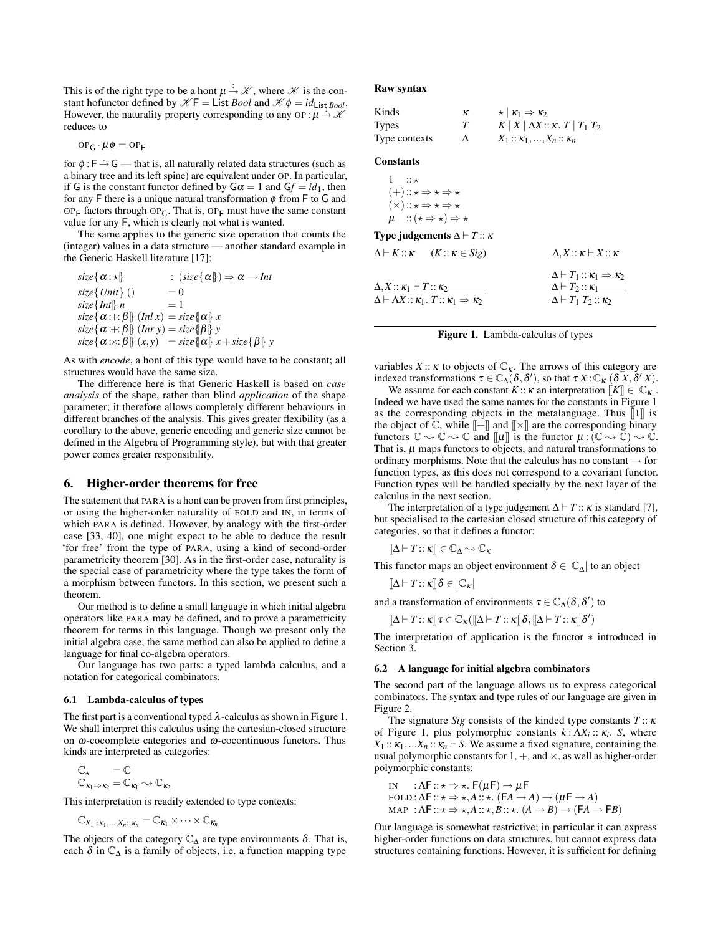This is of the right type to be a hont  $\mu \to \mathcal{K}$ , where  $\mathcal K$  is the constant hofunctor defined by  $K \mathsf{F} = \mathsf{List} \, \mathit{Bool}$  and  $\mathcal{K} \phi = \mathit{id}_{\mathsf{List} \, \mathit{Bool}}$ . However, the naturality property corresponding to any OP:  $\mu \rightarrow \mathcal{X}$ reduces to

$$
\text{op}_G\cdot\mu\phi=\text{op}_F
$$

for  $\phi$  :  $\overline{F}$   $\rightarrow$  G  $\rightarrow$  that is, all naturally related data structures (such as a binary tree and its left spine) are equivalent under OP. In particular, if G is the constant functor defined by  $G\alpha = 1$  and  $Gf = id_1$ , then for any F there is a unique natural transformation  $\phi$  from F to G and OP<sub>F</sub> factors through OP<sub>G</sub>. That is, OP<sub>F</sub> must have the same constant value for any F, which is clearly not what is wanted.

The same applies to the generic size operation that counts the (integer) values in a data structure — another standard example in the Generic Haskell literature [17]:

$$
\begin{aligned}\n\text{size} \{\alpha : \star \} & : (\text{size} \{\alpha\}) \Rightarrow \alpha \to \text{Int} \\
\text{size} \{\text{Unit}\} \ (\) & = 0 \\
\text{size} \{\text{Int}\} \ n & = 1 \\
\text{size} \{\alpha : \div, \beta\} \ (\text{Int } x) = \text{size} \{\alpha\} \ x \\
\text{size} \{\alpha : \div, \beta\} \ (\text{Int } y) = \text{size} \{\beta\} \ y \\
\text{size} \{\alpha : \times: \beta\} \ (x, y) = \text{size} \{\alpha\} \ x + \text{size} \{\beta\} \ y\n\end{aligned}
$$

As with *encode*, a hont of this type would have to be constant; all structures would have the same size.

The difference here is that Generic Haskell is based on *case analysis* of the shape, rather than blind *application* of the shape parameter; it therefore allows completely different behaviours in different branches of the analysis. This gives greater flexibility (as a corollary to the above, generic encoding and generic size cannot be defined in the Algebra of Programming style), but with that greater power comes greater responsibility.

## 6. Higher-order theorems for free

The statement that PARA is a hont can be proven from first principles, or using the higher-order naturality of FOLD and IN, in terms of which PARA is defined. However, by analogy with the first-order case [33, 40], one might expect to be able to deduce the result 'for free' from the type of PARA, using a kind of second-order parametricity theorem [30]. As in the first-order case, naturality is the special case of parametricity where the type takes the form of a morphism between functors. In this section, we present such a theorem.

Our method is to define a small language in which initial algebra operators like PARA may be defined, and to prove a parametricity theorem for terms in this language. Though we present only the initial algebra case, the same method can also be applied to define a language for final co-algebra operators.

Our language has two parts: a typed lambda calculus, and a notation for categorical combinators.

### 6.1 Lambda-calculus of types

The first part is a conventional typed  $\lambda$ -calculus as shown in Figure 1. We shall interpret this calculus using the cartesian-closed structure on  $\omega$ -cocomplete categories and  $\omega$ -cocontinuous functors. Thus kinds are interpreted as categories:

$$
\begin{array}{c}\mathbb{C}_\star = \mathbb{C} \\ \mathbb{C}_{\kappa_1 \Rightarrow \kappa_2} = \mathbb{C}_{\kappa_1} \sim \mathbb{C}_{\kappa_2}\end{array}
$$

This interpretation is readily extended to type contexts:

$$
\mathbb{C}_{X_1::\kappa_1,...,X_n::\kappa_n}=\mathbb{C}_{\kappa_1}\times\cdots\times\mathbb{C}_{\kappa_n}
$$

The objects of the category  $\mathbb{C}_{\Delta}$  are type environments  $\delta$ . That is, each  $\delta$  in  $\mathbb{C}_{\Delta}$  is a family of objects, i.e. a function mapping type

#### Raw syntax

| Kinds         | ĸ | $\star$ $K_1 \Rightarrow K_2$                          |
|---------------|---|--------------------------------------------------------|
| Types         |   | $K$   $X$   $\Delta X$ :: $\kappa$ . $T$   $T_1$ $T_2$ |
| Type contexts | Δ | $X_1 :: \kappa_1, , X_n :: \kappa_n$                   |

## **Constants**

∆,*X* :: κ<sup>1</sup> ` *T* :: κ<sup>2</sup>

 $1 : : \star$  $(+):: \star \Rightarrow \star \Rightarrow \star$  $(\times): \star \Rightarrow \star \Rightarrow \star$  $\mu$  :: ( $\star \Rightarrow \star$ )  $\Rightarrow \star$ Type judgements  $\Delta \vdash T :: \kappa$ 

| $\Delta \vdash K :: \kappa$ $(K :: \kappa \in Sig)$                                                                          | $\Delta$ , $X :: \kappa \vdash X :: \kappa$                                                                               |
|------------------------------------------------------------------------------------------------------------------------------|---------------------------------------------------------------------------------------------------------------------------|
| $\Delta, X :: \kappa_1 \vdash T :: \kappa_2$<br>$\Delta \vdash \Lambda X :: \kappa_1$ . $T :: \kappa_1 \Rightarrow \kappa_2$ | $\Delta \vdash T_1 :: \kappa_1 \Rightarrow \kappa_2$<br>$\Delta \vdash T_2 :: \kappa_1$<br>$\Delta \vdash T_1 T_2 :: K_2$ |

#### Figure 1. Lambda-calculus of types

variables  $X: K$  to objects of  $\mathbb{C}_K$ . The arrows of this category are indexed transformations  $\tau \in \mathbb{C}_{\Delta}(\delta, \delta')$ , so that  $\tau X$ :  $\mathbb{C}_{\kappa}$   $(\delta X, \delta' X)$ .

We assume for each constant *K* ::  $\kappa$  an interpretation  $[[K]] \in |C_{\kappa}|$ . Indeed we have used the same names for the constants in Figure 1 as the corresponding objects in the metalanguage. Thus  $\llbracket 1 \rrbracket$  is the object of  $\mathbb{C}$ , while  $\llbracket + \rrbracket$  and  $\llbracket \times \rrbracket$  are the corresponding binary functors  $\mathbb{C} \rightsquigarrow \mathbb{C} \rightsquigarrow \mathbb{C}$  and  $\llbracket \mu \rrbracket$  is the functor  $\mu : (\mathbb{C} \rightsquigarrow \mathbb{C}) \rightsquigarrow \mathbb{C}$ . That is,  $\mu$  maps functors to objects, and natural transformations to ordinary morphisms. Note that the calculus has no constant  $\rightarrow$  for function types, as this does not correspond to a covariant functor. Function types will be handled specially by the next layer of the calculus in the next section.

The interpretation of a type judgement  $\Delta \vdash T :: \kappa$  is standard [7], but specialised to the cartesian closed structure of this category of categories, so that it defines a functor:

$$
[\![\Delta \vdash T :: \kappa]\!] \in \mathbb{C}_\Delta \!\leadsto \mathbb{C}_\kappa
$$

This functor maps an object environment  $\delta \in |\mathbb{C}_{\Delta}|$  to an object

 $[\![\Delta \vdash T :: \kappa]\!] \delta \in [\mathbb{C}_\kappa]$ 

and a transformation of environments  $\tau \in \mathbb{C}_{\Delta}(\delta, \delta')$  to

$$
[\![\Delta \vdash T :: \kappa ]\!] \, \tau \in \mathbb{C}_{\kappa}([\![\Delta \vdash T :: \kappa ]\!] \, \delta, [\![\Delta \vdash T :: \kappa ]\!] \, \delta')
$$

The interpretation of application is the functor ∗ introduced in Section 3.

#### 6.2 A language for initial algebra combinators

The second part of the language allows us to express categorical combinators. The syntax and type rules of our language are given in Figure 2.

The signature *Sig* consists of the kinded type constants *T* :: κ of Figure 1, plus polymorphic constants  $k : \Lambda X_i :: \kappa_i$ . *S*, where  $X_1$ ::  $\kappa_1$ ,... $X_n$ ::  $\kappa_n$   $\vdash$  *S*. We assume a fixed signature, containing the usual polymorphic constants for  $1, +$ , and  $\times$ , as well as higher-order polymorphic constants:

IN : 
$$
\Lambda F :: \star \Rightarrow \star
$$
.  $F(\mu F) \rightarrow \mu F$   
FOLD :  $\Lambda F :: \star \Rightarrow \star, A :: \star$ .  $(FA \rightarrow A) \rightarrow (\mu F \rightarrow A)$   
MAP :  $\Lambda F :: \star \Rightarrow \star, A :: \star, B :: \star$ .  $(A \rightarrow B) \rightarrow (FA \rightarrow FB)$ 

Our language is somewhat restrictive; in particular it can express higher-order functions on data structures, but cannot express data structures containing functions. However, it is sufficient for defining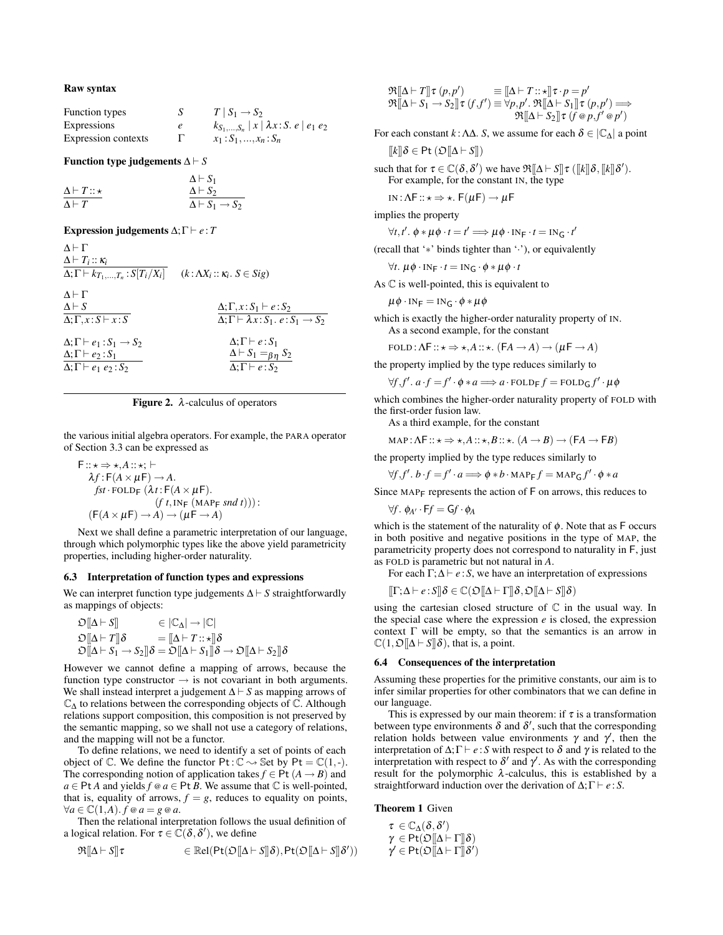## Raw syntax

| Function types      | $T \mid S_1 \rightarrow S_2$                            |
|---------------------|---------------------------------------------------------|
| Expressions         | $k_{S_1,,S_n}$   $x$   $\lambda x$ : S. e   $e_1$ $e_2$ |
| Expression contexts | $x_1: S_1, , x_n: S_n$                                  |

#### Function type judgements  $\Delta \vdash S$

|                            | $\Delta \vdash S_1$                 |
|----------------------------|-------------------------------------|
| $\Delta \vdash T :: \star$ | $\Delta \vdash S_2$                 |
| $\Delta \vdash T$          | $\Delta \vdash S_1 \rightarrow S_2$ |

### Expression judgements  $\Delta$ ; Γ  $\vdash$  *e* : *T*

| $\Lambda \vdash \Gamma$<br>$\Delta \vdash T_i :: \kappa_i$<br>$\Delta;\Gamma\vdash k_{T_1,,T_n}:S[T_i/X_i] \quad (k:\Delta X_i::\kappa_i.S\in Sig)$ |                                                                                                               |
|-----------------------------------------------------------------------------------------------------------------------------------------------------|---------------------------------------------------------------------------------------------------------------|
| $\Lambda \vdash \Gamma$<br>$\Delta \vdash S$<br>$\Delta: \Gamma, x : S \vdash x : S$                                                                | $\Delta; \Gamma, x: S_1 \vdash e: S_2$<br>$\Delta: \Gamma \vdash \lambda x : S_1$ . $e : S_1 \rightarrow S_2$ |
| $\Delta: \Gamma \vdash e_1 : S_1 \rightarrow S_2$<br>$\Delta: \Gamma \vdash e_2 : S_1$<br>$\Delta; \Gamma \vdash e_1 \ e_2 : S_2$                   | $\Delta: \Gamma \vdash e : S_1$<br>$\Delta \vdash S_1 =_{\beta\eta} S_2$<br>$\Delta: \Gamma \vdash e : S_2$   |



the various initial algebra operators. For example, the PARA operator of Section 3.3 can be expressed as

$$
F::\star \Rightarrow \star, A::\star; \vdash
$$
  
\n
$$
\lambda f: F(A \times \mu F) \to A.
$$
  
\n
$$
fst \cdot FOLD_{F} (\lambda t: F(A \times \mu F)).
$$
  
\n
$$
(f t, IN_{F} (MAP_{F} \text{ and } t))) :
$$
  
\n
$$
(F(A \times \mu F) \to A) \to (\mu F \to A)
$$

Next we shall define a parametric interpretation of our language, through which polymorphic types like the above yield parametricity properties, including higher-order naturality.

## 6.3 Interpretation of function types and expressions

We can interpret function type judgements  $\Delta \vdash S$  straightforwardly as mappings of objects:

$$
\mathfrak{O}[\![\Delta \vdash S]\!] \qquad \in |\mathbb{C}_{\Delta}| \to |\mathbb{C}|
$$
\n
$$
\mathfrak{O}[\![\Delta \vdash T]\!] \delta \qquad = [\![\Delta \vdash T \vdots \star]\!] \delta
$$
\n
$$
\mathfrak{O}[\![\Delta \vdash S_1 \to S_2]\!] \delta = \mathfrak{O}[\![\Delta \vdash S_1]\!] \delta \to \mathfrak{O}[\![\Delta \vdash S_2]\!] \delta
$$

However we cannot define a mapping of arrows, because the function type constructor  $\rightarrow$  is not covariant in both arguments. We shall instead interpret a judgement  $\Delta \vdash S$  as mapping arrows of  $\mathbb{C}_{\Lambda}$  to relations between the corresponding objects of  $\mathbb{C}$ . Although relations support composition, this composition is not preserved by the semantic mapping, so we shall not use a category of relations, and the mapping will not be a functor.

To define relations, we need to identify a set of points of each object of  $\mathbb C$ . We define the functor  $Pt : \mathbb C \rightarrow \mathbb S$ et by  $Pt = \mathbb C(1,-)$ . The corresponding notion of application takes  $f \in Pt$  ( $A \rightarrow B$ ) and *a* ∈ Pt *A* and yields *f*  $\omega$  *a* ∈ Pt *B*. We assume that  $\mathbb C$  is well-pointed, that is, equality of arrows,  $f = g$ , reduces to equality on points,  $∀a ∈ ℂ(1, A)$ . *f*  $@a = g @a$ .

Then the relational interpretation follows the usual definition of a logical relation. For  $\tau \in \dot{\mathbb{C}}(\delta, \delta'),$  we define

$$
\mathfrak{R} [\![ \Delta \vdash S ]\!] \tau \qquad \qquad \in {\mathbb{R}}el(Pt(\mathfrak{O} [\![ \Delta \vdash S ]\!] \delta), Pt(\mathfrak{O} [\![ \Delta \vdash S ]\!] \delta'))
$$

$$
\mathfrak{R}[\![\Delta \vdash T]\!] \tau (p,p') \equiv [\![\Delta \vdash T::\star]\!] \tau \cdot p = p' \n\mathfrak{R}[\![\Delta \vdash S_1 \to S_2]\!] \tau (f,f') \equiv \forall p,p'. \mathfrak{R}[\![\Delta \vdash S_1]\!] \tau (p,p') \Longrightarrow \n\mathfrak{R}[\![\Delta \vdash S_2]\!] \tau (f \circ p,f' \circ p')
$$

For each constant  $k : \Lambda \Delta$ . *S*, we assume for each  $\delta \in |\mathbb{C}_{\Delta}|$  a point

 $[[k]]\delta \in \text{Pt} (\mathfrak{O}[[\Delta \vdash S]])$ 

such that for  $\tau \in \mathbb{C}(\delta, \delta')$  we have  $\Re[\![\Delta \vdash S]\!] \tau$  ( $[[k]\!] \delta$ ,  $[[k]\!] \delta'$ ). For example, for the constant IN, the type

IN:  $\Lambda$ F::  $\star \Rightarrow \star$ . F( $\mu$ F)  $\rightarrow \mu$ F

implies the property

$$
\forall t, t'. \phi * \mu \phi \cdot t = t' \Longrightarrow \mu \phi \cdot \text{IN}_{F} \cdot t = \text{IN}_{G} \cdot t'
$$

(recall that '∗' binds tighter than '·'), or equivalently

$$
\forall t. \ \mu \phi \cdot \text{IN}_{F} \cdot t = \text{IN}_{G} \cdot \phi * \mu \phi \cdot t
$$

As C is well-pointed, this is equivalent to

 $\mu \phi \cdot IN_F = IN_G \cdot \phi * \mu \phi$ 

which is exactly the higher-order naturality property of IN. As a second example, for the constant

$$
\text{FOLD}: \Lambda \mathsf{F}::\star \Rightarrow \star, A::\star. (\mathsf{F}A \to A) \to (\mu \mathsf{F} \to A)
$$

the property implied by the type reduces similarly to

$$
\forall f, f'.\ a \cdot f = f' \cdot \phi * a \Longrightarrow a \cdot \text{FOLDF} f = \text{FOLD}_\mathsf{G} f' \cdot \mu \phi
$$

which combines the higher-order naturality property of FOLD with the first-order fusion law.

As a third example, for the constant

 $MAP : \Lambda F :: \star \Rightarrow \star, A :: \star, B :: \star. (A \rightarrow B) \rightarrow (FA \rightarrow FB)$ 

the property implied by the type reduces similarly to

 $\forall f, f' \cdot b \cdot f = f' \cdot a \Longrightarrow \phi * b \cdot \text{MAPF} f = \text{MAPG} f' \cdot \phi * a$ 

Since  $MAPF$  represents the action of  $F$  on arrows, this reduces to

$$
\forall f. \ \phi_{A'} \cdot \mathsf{F}f = \mathsf{G}f \cdot \phi_A
$$

which is the statement of the naturality of  $\phi$ . Note that as F occurs in both positive and negative positions in the type of MAP, the parametricity property does not correspond to naturality in F, just as FOLD is parametric but not natural in *A*.

For each  $\Gamma$ ;  $\Delta \vdash e$  : *S*, we have an interpretation of expressions

 $[[\Gamma; \Delta \vdash e : S]] \delta \in \mathbb{C}(\mathfrak{O}[[\Delta \vdash \Gamma]] \delta, \mathfrak{O}[[\Delta \vdash S]] \delta)$ 

using the cartesian closed structure of  $\mathbb C$  in the usual way. In the special case where the expression *e* is closed, the expression context Γ will be empty, so that the semantics is an arrow in  $\mathbb{C}(1, \mathcal{D}[\Delta \vdash S]\delta)$ , that is, a point.

#### 6.4 Consequences of the interpretation

Assuming these properties for the primitive constants, our aim is to infer similar properties for other combinators that we can define in our language.

This is expressed by our main theorem: if  $\tau$  is a transformation between type environments  $\delta$  and  $\delta'$ , such that the corresponding relation holds between value environments  $\gamma$  and  $\gamma'$ , then the interpretation of  $\Delta$ ;  $\Gamma \vdash e$  : *S* with respect to  $\delta$  and  $\gamma$  is related to the interpretation with respect to  $\delta'$  and  $\gamma'$ . As with the corresponding result for the polymorphic  $\lambda$ -calculus, this is established by a straightforward induction over the derivation of  $\Delta$ ;  $\Gamma \vdash e : S$ .

#### Theorem 1 Given

$$
\begin{array}{l} \tau \in \mathbb{C}_{\Delta}(\delta, \delta') \\ \gamma \in \mathsf{Pt}(\mathfrak{O}[\![\Delta \vdash \Gamma]\!]\delta) \\ \gamma' \in \mathsf{Pt}(\mathfrak{O}[\![\Delta \vdash \Gamma]\!]\delta') \end{array}
$$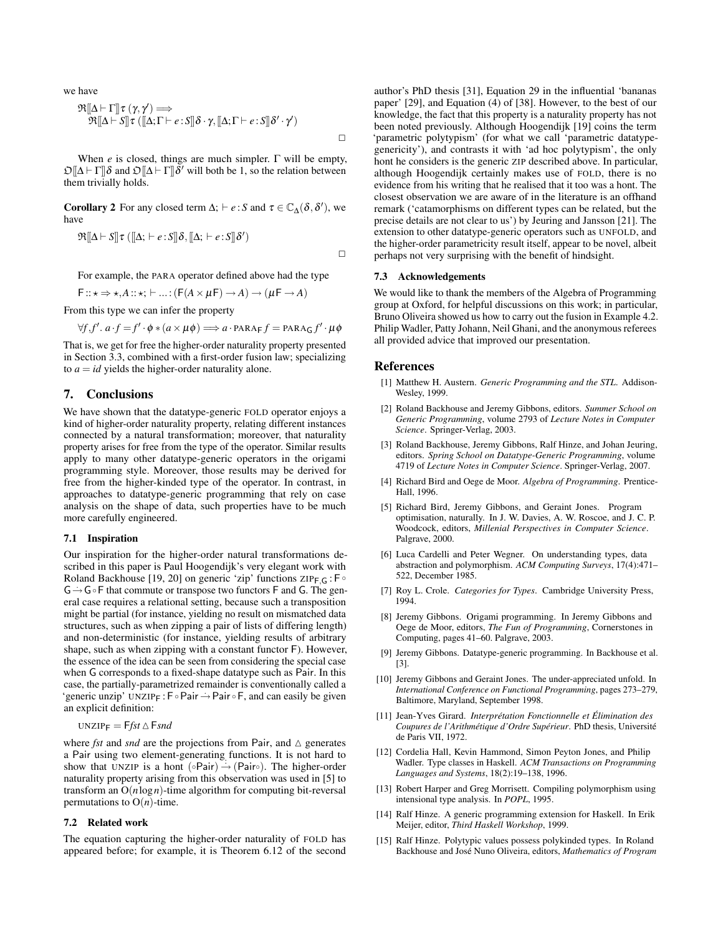we have

$$
\mathfrak{R}[\![\Delta\vdash\Gamma]\!] \tau (\gamma,\gamma') \Longrightarrow \mathfrak{R}[\![\Delta\vdash S]\!] \tau ([\![\Delta;\Gamma\vdash e:S]\!] \delta \cdot \gamma,[\![\Delta;\Gamma\vdash e:S]\!] \delta' \cdot \gamma')
$$

When *e* is closed, things are much simpler. Γ will be empty,  $\mathfrak{O}[\![\Delta]\vdash \Gamma]\!] \delta$  and  $\mathfrak{O}[\![\Delta\vdash \Gamma]\!] \delta'$  will both be 1, so the relation between them trivially holds.

**Corollary 2** For any closed term  $\Delta$ ;  $\vdash e : S$  and  $\tau \in \mathbb{C}_{\Delta}(\delta, \delta')$ , we have

$$
\Re[\![\Delta \vdash S]\!] \tau ([\![\Delta; \vdash e : S]\!] \delta, [\![\Delta; \vdash e : S]\!] \delta')
$$

For example, the PARA operator defined above had the type

$$
\mathsf{F}::\star \Rightarrow \star, A::\star; \vdash ... : (\mathsf{F}(A \times \mu\mathsf{F}) \to A) \to (\mu\mathsf{F} \to A)
$$

From this type we can infer the property

$$
\forall f, f'. a.f = f' \cdot \phi * (a \times \mu \phi) \Longrightarrow a \cdot \text{PARA}_{F} f = \text{PARA}_{G} f' \cdot \mu \phi
$$

That is, we get for free the higher-order naturality property presented in Section 3.3, combined with a first-order fusion law; specializing to  $a = id$  yields the higher-order naturality alone.

## 7. Conclusions

We have shown that the datatype-generic FOLD operator enjoys a kind of higher-order naturality property, relating different instances connected by a natural transformation; moreover, that naturality property arises for free from the type of the operator. Similar results apply to many other datatype-generic operators in the origami programming style. Moreover, those results may be derived for free from the higher-kinded type of the operator. In contrast, in approaches to datatype-generic programming that rely on case analysis on the shape of data, such properties have to be much more carefully engineered.

#### 7.1 Inspiration

Our inspiration for the higher-order natural transformations described in this paper is Paul Hoogendijk's very elegant work with Roland Backhouse [19, 20] on generic 'zip' functions  $\text{ZIP}_{F,G}$ : F∘  $G \rightarrow G \circ F$  that commute or transpose two functors F and G. The general case requires a relational setting, because such a transposition might be partial (for instance, yielding no result on mismatched data structures, such as when zipping a pair of lists of differing length) and non-deterministic (for instance, yielding results of arbitrary shape, such as when zipping with a constant functor F). However, the essence of the idea can be seen from considering the special case when G corresponds to a fixed-shape datatype such as Pair. In this case, the partially-parametrized remainder is conventionally called a 'generic unzip' UNZIP<sub>F</sub> : F∘Pair  $\rightarrow$  Pair ∘ F, and can easily be given an explicit definition:

$$
UNZIP_F = Ffst \bigtriangleup Fsnd
$$

where *fst* and *snd* are the projections from Pair, and  $\triangle$  generates a Pair using two element-generating functions. It is not hard to show that UNZIP is a hont  $(\circ$ Pair $) \rightarrow$  (Pair☉). The higher-order naturality property arising from this observation was used in [5] to transform an O(*n*log*n*)-time algorithm for computing bit-reversal permutations to  $O(n)$ -time.

## 7.2 Related work

The equation capturing the higher-order naturality of FOLD has appeared before; for example, it is Theorem 6.12 of the second author's PhD thesis [31], Equation 29 in the influential 'bananas paper' [29], and Equation (4) of [38]. However, to the best of our knowledge, the fact that this property is a naturality property has not been noted previously. Although Hoogendijk [19] coins the term 'parametric polytypism' (for what we call 'parametric datatypegenericity'), and contrasts it with 'ad hoc polytypism', the only hont he considers is the generic ZIP described above. In particular, although Hoogendijk certainly makes use of FOLD, there is no evidence from his writing that he realised that it too was a hont. The closest observation we are aware of in the literature is an offhand remark ('catamorphisms on different types can be related, but the precise details are not clear to us') by Jeuring and Jansson [21]. The extension to other datatype-generic operators such as UNFOLD, and the higher-order parametricity result itself, appear to be novel, albeit perhaps not very surprising with the benefit of hindsight.

#### 7.3 Acknowledgements

We would like to thank the members of the Algebra of Programming group at Oxford, for helpful discussions on this work; in particular, Bruno Oliveira showed us how to carry out the fusion in Example 4.2. Philip Wadler, Patty Johann, Neil Ghani, and the anonymous referees all provided advice that improved our presentation.

#### References

- [1] Matthew H. Austern. *Generic Programming and the STL*. Addison-Wesley, 1999.
- [2] Roland Backhouse and Jeremy Gibbons, editors. *Summer School on Generic Programming*, volume 2793 of *Lecture Notes in Computer Science*. Springer-Verlag, 2003.
- [3] Roland Backhouse, Jeremy Gibbons, Ralf Hinze, and Johan Jeuring, editors. *Spring School on Datatype-Generic Programming*, volume 4719 of *Lecture Notes in Computer Science*. Springer-Verlag, 2007.
- [4] Richard Bird and Oege de Moor. *Algebra of Programming*. Prentice-Hall, 1996.
- [5] Richard Bird, Jeremy Gibbons, and Geraint Jones. Program optimisation, naturally. In J. W. Davies, A. W. Roscoe, and J. C. P. Woodcock, editors, *Millenial Perspectives in Computer Science*. Palgrave, 2000.
- [6] Luca Cardelli and Peter Wegner. On understanding types, data abstraction and polymorphism. *ACM Computing Surveys*, 17(4):471– 522, December 1985.
- [7] Roy L. Crole. *Categories for Types*. Cambridge University Press, 1994.
- [8] Jeremy Gibbons. Origami programming. In Jeremy Gibbons and Oege de Moor, editors, *The Fun of Programming*, Cornerstones in Computing, pages 41–60. Palgrave, 2003.
- [9] Jeremy Gibbons. Datatype-generic programming. In Backhouse et al. [3].
- [10] Jeremy Gibbons and Geraint Jones. The under-appreciated unfold. In *International Conference on Functional Programming*, pages 273–279, Baltimore, Maryland, September 1998.
- [11] Jean-Yves Girard. *Interpretation Fonctionnelle et ´ Elimination des ´ Coupures de l'Arithmetique d'Ordre Sup ´ erieur ´* . PhD thesis, Universite´ de Paris VII, 1972.
- [12] Cordelia Hall, Kevin Hammond, Simon Peyton Jones, and Philip Wadler. Type classes in Haskell. *ACM Transactions on Programming Languages and Systems*, 18(2):19–138, 1996.
- [13] Robert Harper and Greg Morrisett. Compiling polymorphism using intensional type analysis. In *POPL*, 1995.
- [14] Ralf Hinze. A generic programming extension for Haskell. In Erik Meijer, editor, *Third Haskell Workshop*, 1999.
- [15] Ralf Hinze. Polytypic values possess polykinded types. In Roland Backhouse and José Nuno Oliveira, editors, Mathematics of Program